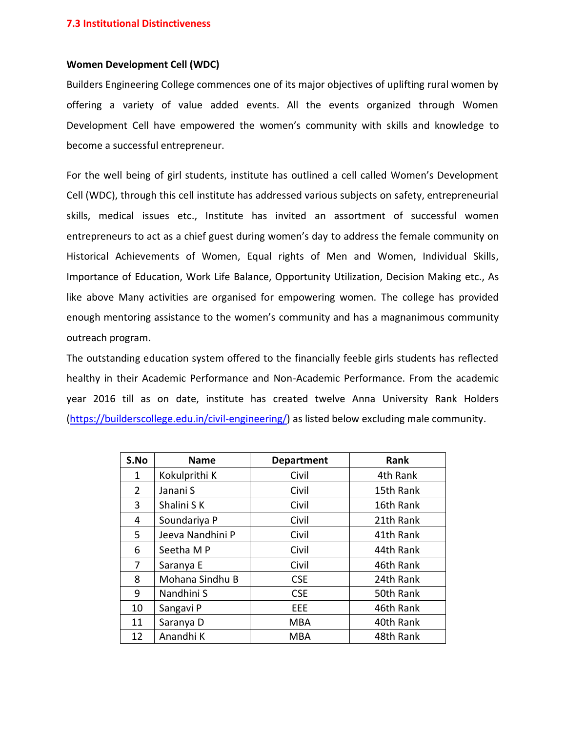## **Women Development Cell (WDC)**

Builders Engineering College commences one of its major objectives of uplifting rural women by offering a variety of value added events. All the events organized through Women Development Cell have empowered the women's community with skills and knowledge to become a successful entrepreneur.

For the well being of girl students, institute has outlined a cell called Women's Development Cell (WDC), through this cell institute has addressed various subjects on safety, entrepreneurial skills, medical issues etc., Institute has invited an assortment of successful women entrepreneurs to act as a chief guest during women's day to address the female community on Historical Achievements of Women, Equal rights of Men and Women, Individual Skills, Importance of Education, Work Life Balance, Opportunity Utilization, Decision Making etc., As like above Many activities are organised for empowering women. The college has provided enough mentoring assistance to the women's community and has a magnanimous community outreach program.

The outstanding education system offered to the financially feeble girls students has reflected healthy in their Academic Performance and Non-Academic Performance. From the academic year 2016 till as on date, institute has created twelve Anna University Rank Holders [\(https://builderscollege.edu.in/civil-engineering/\)](https://builderscollege.edu.in/civil-engineering/) as listed below excluding male community.

| S.No           | <b>Name</b>      | <b>Department</b> | Rank      |
|----------------|------------------|-------------------|-----------|
| 1              | Kokulprithi K    | Civil             | 4th Rank  |
| $\overline{2}$ | Janani S         | Civil             | 15th Rank |
| 3              | Shalini S K      | Civil             | 16th Rank |
| 4              | Soundariya P     | Civil             | 21th Rank |
| 5.             | Jeeva Nandhini P | Civil             | 41th Rank |
| 6              | Seetha M P       | Civil             | 44th Rank |
| 7              | Saranya E        | Civil             | 46th Rank |
| 8              | Mohana Sindhu B  | <b>CSE</b>        | 24th Rank |
| 9              | Nandhini S       | <b>CSE</b>        | 50th Rank |
| 10             | Sangavi P        | EEE               | 46th Rank |
| 11             | Saranya D        | <b>MBA</b>        | 40th Rank |
| 12             | Anandhi K        | <b>MBA</b>        | 48th Rank |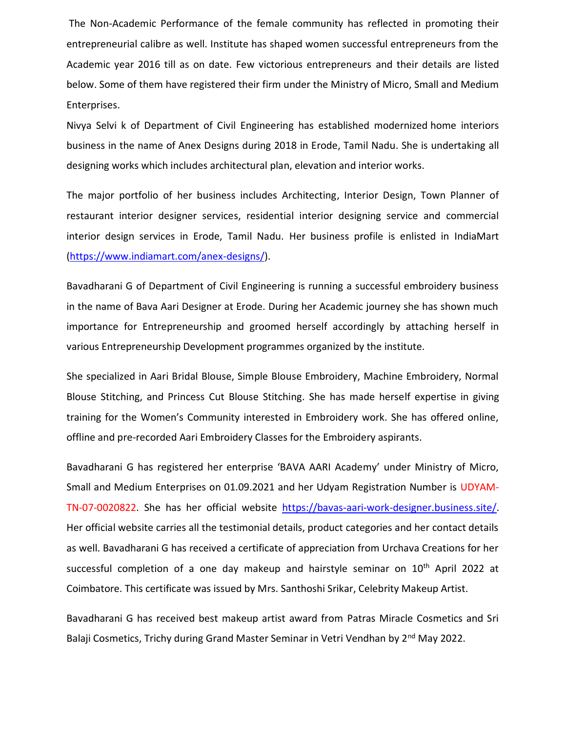The Non-Academic Performance of the female community has reflected in promoting their entrepreneurial calibre as well. Institute has shaped women successful entrepreneurs from the Academic year 2016 till as on date. Few victorious entrepreneurs and their details are listed below. Some of them have registered their firm under the Ministry of Micro, Small and Medium Enterprises.

Nivya Selvi k of Department of Civil Engineering has established modernized home interiors business in the name of Anex Designs during 2018 in Erode, Tamil Nadu. She is undertaking all designing works which includes architectural plan, elevation and interior works.

The major portfolio of her business includes Architecting, Interior Design, Town Planner of restaurant interior designer services, residential interior designing service and commercial interior design services in Erode, Tamil Nadu. Her business profile is enlisted in IndiaMart [\(https://www.indiamart.com/anex-designs/\)](https://www.indiamart.com/anex-designs/).

Bavadharani G of Department of Civil Engineering is running a successful embroidery business in the name of Bava Aari Designer at Erode. During her Academic journey she has shown much importance for Entrepreneurship and groomed herself accordingly by attaching herself in various Entrepreneurship Development programmes organized by the institute.

She specialized in Aari Bridal Blouse, Simple Blouse Embroidery, Machine Embroidery, Normal Blouse Stitching, and Princess Cut Blouse Stitching. She has made herself expertise in giving training for the Women's Community interested in Embroidery work. She has offered online, offline and pre-recorded Aari Embroidery Classes for the Embroidery aspirants.

Bavadharani G has registered her enterprise 'BAVA AARI Academy' under Ministry of Micro, Small and Medium Enterprises on 01.09.2021 and her Udyam Registration Number is UDYAM-TN-07-0020822. She has her official website [https://bavas-aari-work-designer.business.site/.](https://bavas-aari-work-designer.business.site/) Her official website carries all the testimonial details, product categories and her contact details as well. Bavadharani G has received a certificate of appreciation from Urchava Creations for her successful completion of a one day makeup and hairstyle seminar on  $10<sup>th</sup>$  April 2022 at Coimbatore. This certificate was issued by Mrs. Santhoshi Srikar, Celebrity Makeup Artist.

Bavadharani G has received best makeup artist award from Patras Miracle Cosmetics and Sri Balaji Cosmetics, Trichy during Grand Master Seminar in Vetri Vendhan by 2<sup>nd</sup> May 2022.